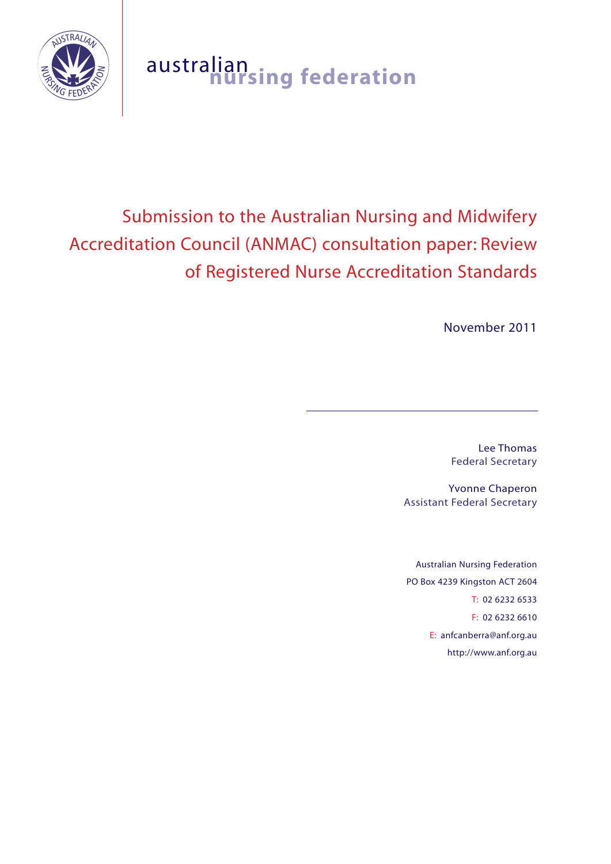

# australian **nursing federation**

# Submission to the Australian Nursing and Midwifery Accreditation Council (ANMAC) consultation paper: Review of Registered Nurse Accreditation Standards

November 2011

Lee Thomas Federal Secretary

Yvonne Chaperon Assistant Federal Secretary

Australian Nursing Federation PO Box 4239 Kingston ACT 2604 T: 02 6232 6533 F: 02 6232 6610 E: anfcanberra@anf.org.au http://www.anf.org.au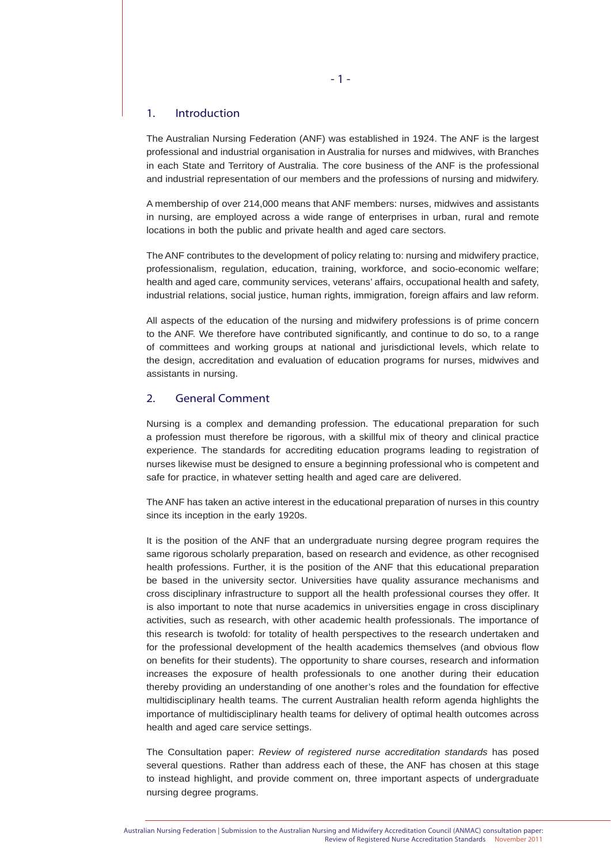#### 1. Introduction

The Australian Nursing Federation (ANF) was established in 1924. The ANF is the largest professional and industrial organisation in Australia for nurses and midwives, with Branches in each State and Territory of Australia. The core business of the ANF is the professional and industrial representation of our members and the professions of nursing and midwifery.

A membership of over 214,000 means that ANF members: nurses, midwives and assistants in nursing, are employed across a wide range of enterprises in urban, rural and remote locations in both the public and private health and aged care sectors.

The ANF contributes to the development of policy relating to: nursing and midwifery practice, professionalism, regulation, education, training, workforce, and socio-economic welfare; health and aged care, community services, veterans' affairs, occupational health and safety, industrial relations, social justice, human rights, immigration, foreign affairs and law reform.

All aspects of the education of the nursing and midwifery professions is of prime concern to the ANF. We therefore have contributed significantly, and continue to do so, to a range of committees and working groups at national and jurisdictional levels, which relate to the design, accreditation and evaluation of education programs for nurses, midwives and assistants in nursing.

# 2. General Comment

Nursing is a complex and demanding profession. The educational preparation for such a profession must therefore be rigorous, with a skillful mix of theory and clinical practice experience. The standards for accrediting education programs leading to registration of nurses likewise must be designed to ensure a beginning professional who is competent and safe for practice, in whatever setting health and aged care are delivered.

The ANF has taken an active interest in the educational preparation of nurses in this country since its inception in the early 1920s.

It is the position of the ANF that an undergraduate nursing degree program requires the same rigorous scholarly preparation, based on research and evidence, as other recognised health professions. Further, it is the position of the ANF that this educational preparation be based in the university sector. Universities have quality assurance mechanisms and cross disciplinary infrastructure to support all the health professional courses they offer. It is also important to note that nurse academics in universities engage in cross disciplinary activities, such as research, with other academic health professionals. The importance of this research is twofold: for totality of health perspectives to the research undertaken and for the professional development of the health academics themselves (and obvious flow on benefits for their students). The opportunity to share courses, research and information increases the exposure of health professionals to one another during their education thereby providing an understanding of one another's roles and the foundation for effective multidisciplinary health teams. The current Australian health reform agenda highlights the importance of multidisciplinary health teams for delivery of optimal health outcomes across health and aged care service settings.

The Consultation paper: *Review of registered nurse accreditation standards* has posed several questions. Rather than address each of these, the ANF has chosen at this stage to instead highlight, and provide comment on, three important aspects of undergraduate nursing degree programs.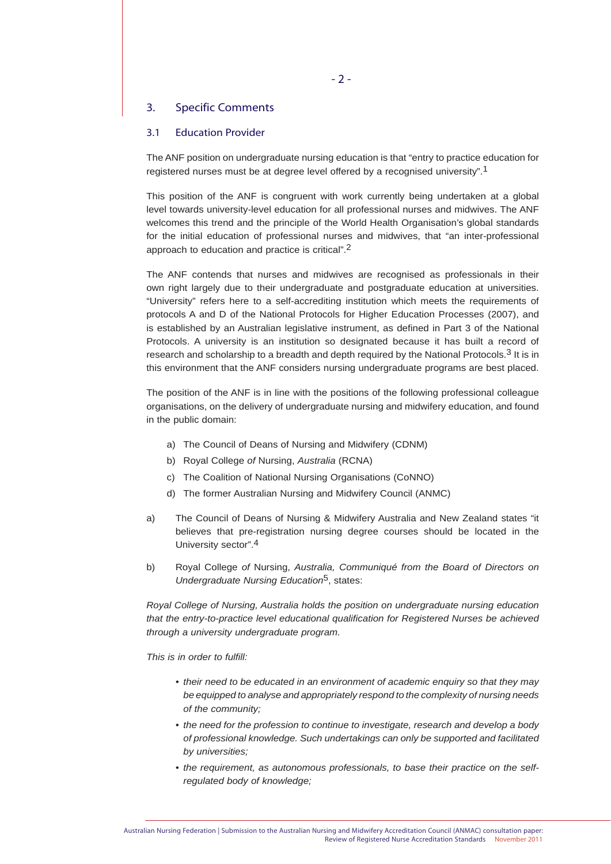# 3. Specific Comments

#### 3.1 Education Provider

The ANF position on undergraduate nursing education is that "entry to practice education for registered nurses must be at degree level offered by a recognised university".1

This position of the ANF is congruent with work currently being undertaken at a global level towards university-level education for all professional nurses and midwives. The ANF welcomes this trend and the principle of the World Health Organisation's global standards for the initial education of professional nurses and midwives, that "an inter-professional approach to education and practice is critical".2

The ANF contends that nurses and midwives are recognised as professionals in their own right largely due to their undergraduate and postgraduate education at universities. "University" refers here to a self-accrediting institution which meets the requirements of protocols A and D of the National Protocols for Higher Education Processes (2007), and is established by an Australian legislative instrument, as defined in Part 3 of the National Protocols. A university is an institution so designated because it has built a record of research and scholarship to a breadth and depth required by the National Protocols. $3$  It is in this environment that the ANF considers nursing undergraduate programs are best placed.

The position of the ANF is in line with the positions of the following professional colleague organisations, on the delivery of undergraduate nursing and midwifery education, and found in the public domain:

- a) The Council of Deans of Nursing and Midwifery (CDNM)
- b) Royal College *of* Nursing, *Australia* (RCNA)
- c) The Coalition of National Nursing Organisations (CoNNO)
- d) The former Australian Nursing and Midwifery Council (ANMC)
- a) The Council of Deans of Nursing & Midwifery Australia and New Zealand states "it believes that pre-registration nursing degree courses should be located in the University sector".4
- b) Royal College *of* Nursing, *Australia, Communiqué from the Board of Directors on Undergraduate Nursing Education*5, states:

*Royal College of Nursing, Australia holds the position on undergraduate nursing education that the entry-to-practice level educational qualification for Registered Nurses be achieved through a university undergraduate program.* 

*This is in order to fulfill:* 

- *their need to be educated in an environment of academic enquiry so that they may be equipped to analyse and appropriately respond to the complexity of nursing needs of the community;*
- *the need for the profession to continue to investigate, research and develop a body of professional knowledge. Such undertakings can only be supported and facilitated by universities;*
- *the requirement, as autonomous professionals, to base their practice on the self regulated body of knowledge;*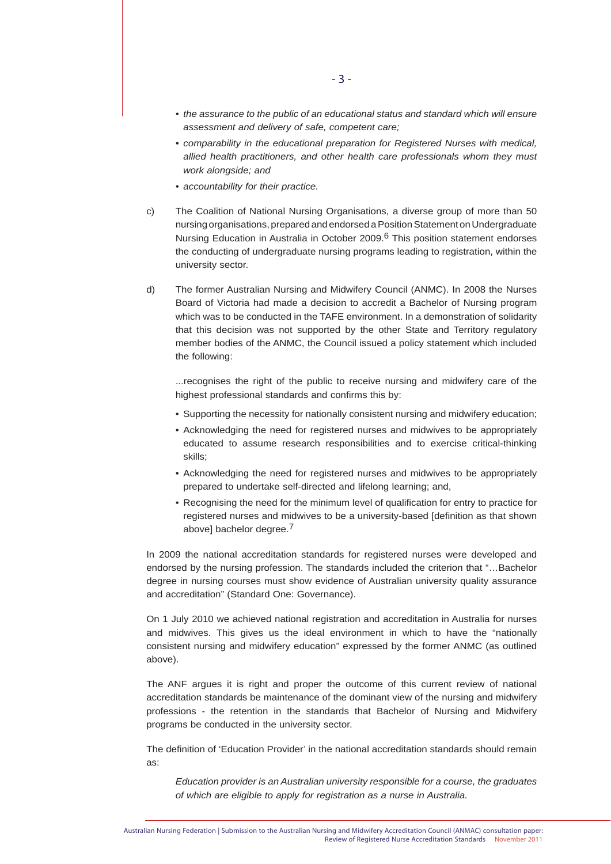- *the assurance to the public of an educational status and standard which will ensure assessment and delivery of safe, competent care;*
- *comparability in the educational preparation for Registered Nurses with medical, allied health practitioners, and other health care professionals whom they must work alongside; and*
- *accountability for their practice.*
- c) The Coalition of National Nursing Organisations, a diverse group of more than 50 nursing organisations, prepared and endorsed a Position Statement on Undergraduate Nursing Education in Australia in October 2009.<sup>6</sup> This position statement endorses the conducting of undergraduate nursing programs leading to registration, within the university sector.
- d) The former Australian Nursing and Midwifery Council (ANMC). In 2008 the Nurses Board of Victoria had made a decision to accredit a Bachelor of Nursing program which was to be conducted in the TAFE environment. In a demonstration of solidarity that this decision was not supported by the other State and Territory regulatory member bodies of the ANMC, the Council issued a policy statement which included the following:

 ...recognises the right of the public to receive nursing and midwifery care of the highest professional standards and confirms this by:

- Supporting the necessity for nationally consistent nursing and midwifery education;
- Acknowledging the need for registered nurses and midwives to be appropriately educated to assume research responsibilities and to exercise critical-thinking skills;
- Acknowledging the need for registered nurses and midwives to be appropriately prepared to undertake self-directed and lifelong learning; and,
- Recognising the need for the minimum level of qualification for entry to practice for registered nurses and midwives to be a university-based [definition as that shown above] bachelor degree.<sup>7</sup>

In 2009 the national accreditation standards for registered nurses were developed and endorsed by the nursing profession. The standards included the criterion that "…Bachelor degree in nursing courses must show evidence of Australian university quality assurance and accreditation" (Standard One: Governance).

On 1 July 2010 we achieved national registration and accreditation in Australia for nurses and midwives. This gives us the ideal environment in which to have the "nationally consistent nursing and midwifery education" expressed by the former ANMC (as outlined above).

The ANF argues it is right and proper the outcome of this current review of national accreditation standards be maintenance of the dominant view of the nursing and midwifery professions - the retention in the standards that Bachelor of Nursing and Midwifery programs be conducted in the university sector.

The definition of 'Education Provider' in the national accreditation standards should remain as:

*Education provider is an Australian university responsible for a course, the graduates of which are eligible to apply for registration as a nurse in Australia.*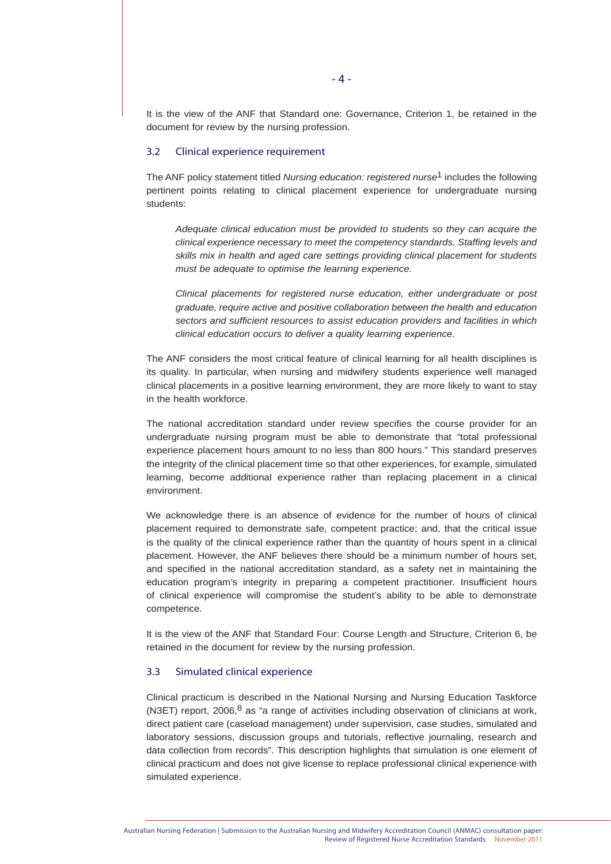It is the view of the ANF that Standard one: Governance, Criterion 1, be retained in the document for review by the nursing profession.

#### 3.2 Clinical experience requirement

The ANF policy statement titled *Nursing education: registered nurse*1 includes the following pertinent points relating to clinical placement experience for undergraduate nursing students:

*Adequate clinical education must be provided to students so they can acquire the clinical experience necessary to meet the competency standards. Staffing levels and skills mix in health and aged care settings providing clinical placement for students must be adequate to optimise the learning experience.*

*Clinical placements for registered nurse education, either undergraduate or post graduate, require active and positive collaboration between the health and education sectors and sufficient resources to assist education providers and facilities in which clinical education occurs to deliver a quality learning experience.*

The ANF considers the most critical feature of clinical learning for all health disciplines is its quality. In particular, when nursing and midwifery students experience well managed clinical placements in a positive learning environment, they are more likely to want to stay in the health workforce.

The national accreditation standard under review specifies the course provider for an undergraduate nursing program must be able to demonstrate that "total professional experience placement hours amount to no less than 800 hours." This standard preserves the integrity of the clinical placement time so that other experiences, for example, simulated learning, become additional experience rather than replacing placement in a clinical environment.

We acknowledge there is an absence of evidence for the number of hours of clinical placement required to demonstrate safe, competent practice; and, that the critical issue is the quality of the clinical experience rather than the quantity of hours spent in a clinical placement. However, the ANF believes there should be a minimum number of hours set, and specified in the national accreditation standard, as a safety net in maintaining the education program's integrity in preparing a competent practitioner. Insufficient hours of clinical experience will compromise the student's ability to be able to demonstrate competence.

It is the view of the ANF that Standard Four: Course Length and Structure, Criterion 6, be retained in the document for review by the nursing profession.

#### 3.3 Simulated clinical experience

Clinical practicum is described in the National Nursing and Nursing Education Taskforce (N3ET) report, 2006, $8$  as "a range of activities including observation of clinicians at work, direct patient care (caseload management) under supervision, case studies, simulated and laboratory sessions, discussion groups and tutorials, reflective journaling, research and data collection from records". This description highlights that simulation is one element of clinical practicum and does not give license to replace professional clinical experience with simulated experience.

Australian Nursing Federation | Submission to the Australian Nursing and Midwifery Accreditation Council (ANMAC) consultation paper: Review of Registered Nurse Accreditation Standards November 2011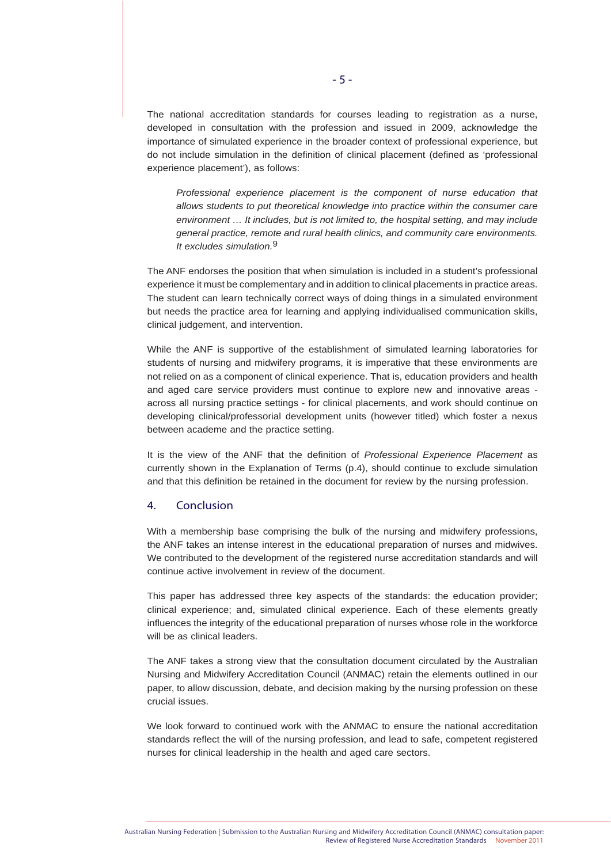The national accreditation standards for courses leading to registration as a nurse, developed in consultation with the profession and issued in 2009, acknowledge the importance of simulated experience in the broader context of professional experience, but do not include simulation in the definition of clinical placement (defined as 'professional experience placement'), as follows:

*Professional experience placement is the component of nurse education that allows students to put theoretical knowledge into practice within the consumer care environment … It includes, but is not limited to, the hospital setting, and may include general practice, remote and rural health clinics, and community care environments. It excludes simulation.*9

The ANF endorses the position that when simulation is included in a student's professional experience it must be complementary and in addition to clinical placements in practice areas. The student can learn technically correct ways of doing things in a simulated environment but needs the practice area for learning and applying individualised communication skills, clinical judgement, and intervention.

While the ANF is supportive of the establishment of simulated learning laboratories for students of nursing and midwifery programs, it is imperative that these environments are not relied on as a component of clinical experience. That is, education providers and health and aged care service providers must continue to explore new and innovative areas across all nursing practice settings - for clinical placements, and work should continue on developing clinical/professorial development units (however titled) which foster a nexus between academe and the practice setting.

It is the view of the ANF that the definition of *Professional Experience Placement* as currently shown in the Explanation of Terms (p.4), should continue to exclude simulation and that this definition be retained in the document for review by the nursing profession.

#### 4. Conclusion

With a membership base comprising the bulk of the nursing and midwifery professions, the ANF takes an intense interest in the educational preparation of nurses and midwives. We contributed to the development of the registered nurse accreditation standards and will continue active involvement in review of the document.

This paper has addressed three key aspects of the standards: the education provider; clinical experience; and, simulated clinical experience. Each of these elements greatly influences the integrity of the educational preparation of nurses whose role in the workforce will be as clinical leaders.

The ANF takes a strong view that the consultation document circulated by the Australian Nursing and Midwifery Accreditation Council (ANMAC) retain the elements outlined in our paper, to allow discussion, debate, and decision making by the nursing profession on these crucial issues.

We look forward to continued work with the ANMAC to ensure the national accreditation standards reflect the will of the nursing profession, and lead to safe, competent registered nurses for clinical leadership in the health and aged care sectors.